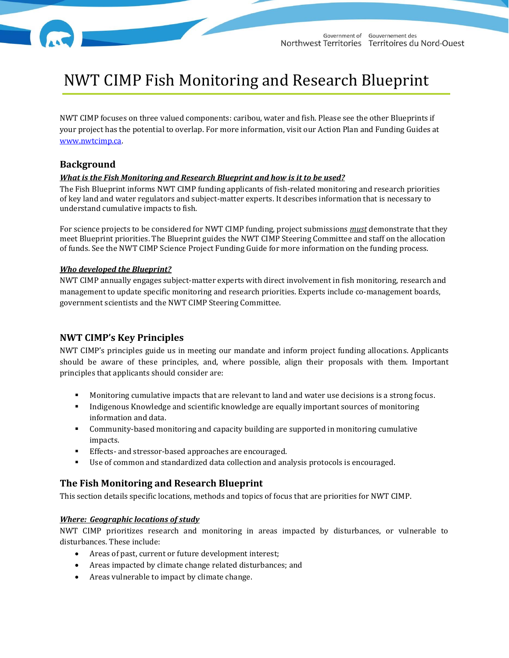# NWT CIMP Fish Monitoring and Research Blueprint

NWT CIMP focuses on three valued components: caribou, water and fish. Please see the other Blueprints if your project has the potential to overlap. For more information, visit our Action Plan and Funding Guides at [www.nwtcimp.ca.](http://www.nwtcimp.ca/)

# **Background**

### *What is the Fish Monitoring and Research Blueprint and how is it to be used?*

The Fish Blueprint informs NWT CIMP funding applicants of fish-related monitoring and research priorities of key land and water regulators and subject-matter experts. It describes information that is necessary to understand cumulative impacts to fish.

For science projects to be considered for NWT CIMP funding, project submissions *must* demonstrate that they meet Blueprint priorities. The Blueprint guides the NWT CIMP Steering Committee and staff on the allocation of funds. See the NWT CIMP Science Project Funding Guide for more information on the funding process.

#### *Who developed the Blueprint?*

NWT CIMP annually engages subject-matter experts with direct involvement in fish monitoring, research and management to update specific monitoring and research priorities. Experts include co-management boards, government scientists and the NWT CIMP Steering Committee.

# **NWT CIMP's Key Principles**

NWT CIMP's principles guide us in meeting our mandate and inform project funding allocations. Applicants should be aware of these principles, and, where possible, align their proposals with them. Important principles that applicants should consider are:

- Monitoring cumulative impacts that are relevant to land and water use decisions is a strong focus.
- Indigenous Knowledge and scientific knowledge are equally important sources of monitoring information and data.
- Community-based monitoring and capacity building are supported in monitoring cumulative impacts.
- Effects- and stressor-based approaches are encouraged.
- Use of common and standardized data collection and analysis protocols is encouraged.

# **The Fish Monitoring and Research Blueprint**

This section details specific locations, methods and topics of focus that are priorities for NWT CIMP.

#### *Where: Geographic locations of study*

NWT CIMP prioritizes research and monitoring in areas impacted by disturbances, or vulnerable to disturbances. These include:

- Areas of past, current or future development interest;
- Areas impacted by climate change related disturbances; and
- Areas vulnerable to impact by climate change.